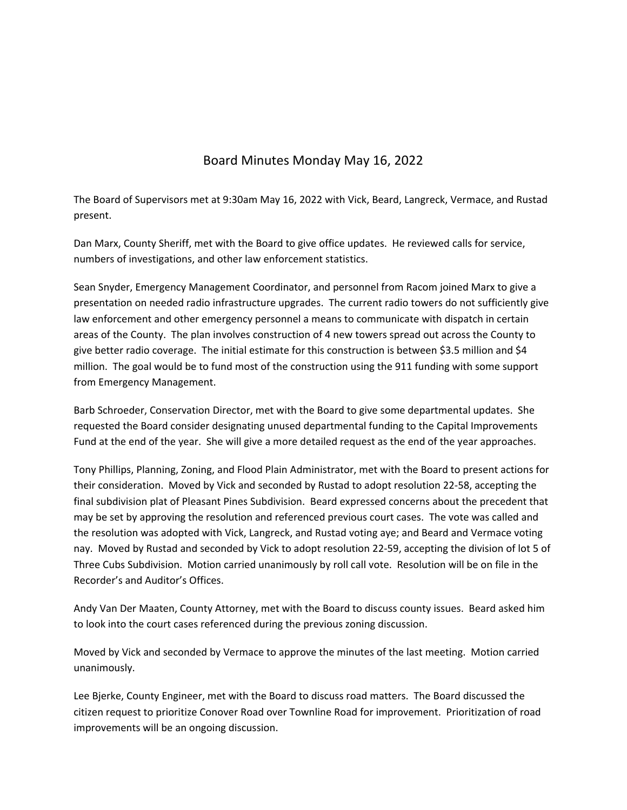## Board Minutes Monday May 16, 2022

The Board of Supervisors met at 9:30am May 16, 2022 with Vick, Beard, Langreck, Vermace, and Rustad present.

Dan Marx, County Sheriff, met with the Board to give office updates. He reviewed calls for service, numbers of investigations, and other law enforcement statistics.

Sean Snyder, Emergency Management Coordinator, and personnel from Racom joined Marx to give a presentation on needed radio infrastructure upgrades. The current radio towers do not sufficiently give law enforcement and other emergency personnel a means to communicate with dispatch in certain areas of the County. The plan involves construction of 4 new towers spread out across the County to give better radio coverage. The initial estimate for this construction is between \$3.5 million and \$4 million. The goal would be to fund most of the construction using the 911 funding with some support from Emergency Management.

Barb Schroeder, Conservation Director, met with the Board to give some departmental updates. She requested the Board consider designating unused departmental funding to the Capital Improvements Fund at the end of the year. She will give a more detailed request as the end of the year approaches.

Tony Phillips, Planning, Zoning, and Flood Plain Administrator, met with the Board to present actions for their consideration. Moved by Vick and seconded by Rustad to adopt resolution 22‐58, accepting the final subdivision plat of Pleasant Pines Subdivision. Beard expressed concerns about the precedent that may be set by approving the resolution and referenced previous court cases. The vote was called and the resolution was adopted with Vick, Langreck, and Rustad voting aye; and Beard and Vermace voting nay. Moved by Rustad and seconded by Vick to adopt resolution 22‐59, accepting the division of lot 5 of Three Cubs Subdivision. Motion carried unanimously by roll call vote. Resolution will be on file in the Recorder's and Auditor's Offices.

Andy Van Der Maaten, County Attorney, met with the Board to discuss county issues. Beard asked him to look into the court cases referenced during the previous zoning discussion.

Moved by Vick and seconded by Vermace to approve the minutes of the last meeting. Motion carried unanimously.

Lee Bjerke, County Engineer, met with the Board to discuss road matters. The Board discussed the citizen request to prioritize Conover Road over Townline Road for improvement. Prioritization of road improvements will be an ongoing discussion.